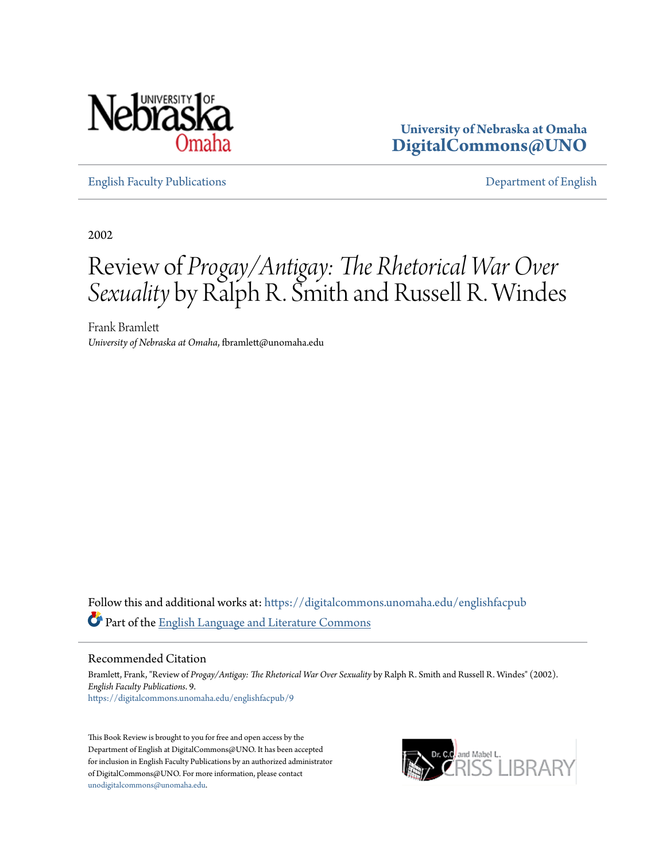

**University of Nebraska at Omaha [DigitalCommons@UNO](https://digitalcommons.unomaha.edu?utm_source=digitalcommons.unomaha.edu%2Fenglishfacpub%2F9&utm_medium=PDF&utm_campaign=PDFCoverPages)**

[English Faculty Publications](https://digitalcommons.unomaha.edu/englishfacpub?utm_source=digitalcommons.unomaha.edu%2Fenglishfacpub%2F9&utm_medium=PDF&utm_campaign=PDFCoverPages) [Department of English](https://digitalcommons.unomaha.edu/english?utm_source=digitalcommons.unomaha.edu%2Fenglishfacpub%2F9&utm_medium=PDF&utm_campaign=PDFCoverPages)

2002

## Review of *Progay/Antigay: The Rhetorical War Over Sexuality* by Ralph R. Smith and Russell R. Windes

Frank Bramlett *University of Nebraska at Omaha*, fbramlett@unomaha.edu

Follow this and additional works at: [https://digitalcommons.unomaha.edu/englishfacpub](https://digitalcommons.unomaha.edu/englishfacpub?utm_source=digitalcommons.unomaha.edu%2Fenglishfacpub%2F9&utm_medium=PDF&utm_campaign=PDFCoverPages) Part of the [English Language and Literature Commons](http://network.bepress.com/hgg/discipline/455?utm_source=digitalcommons.unomaha.edu%2Fenglishfacpub%2F9&utm_medium=PDF&utm_campaign=PDFCoverPages)

Recommended Citation

Bramlett, Frank, "Review of *Progay/Antigay: The Rhetorical War Over Sexuality* by Ralph R. Smith and Russell R. Windes" (2002). *English Faculty Publications*. 9. [https://digitalcommons.unomaha.edu/englishfacpub/9](https://digitalcommons.unomaha.edu/englishfacpub/9?utm_source=digitalcommons.unomaha.edu%2Fenglishfacpub%2F9&utm_medium=PDF&utm_campaign=PDFCoverPages)

This Book Review is brought to you for free and open access by the Department of English at DigitalCommons@UNO. It has been accepted for inclusion in English Faculty Publications by an authorized administrator of DigitalCommons@UNO. For more information, please contact [unodigitalcommons@unomaha.edu](mailto:unodigitalcommons@unomaha.edu).

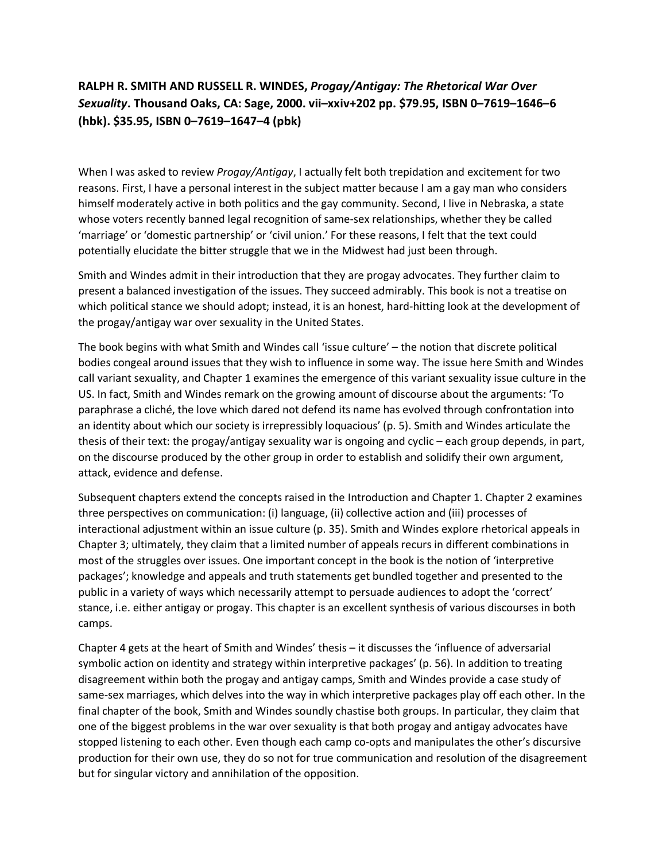## **RALPH R. SMITH AND RUSSELL R. WINDES,** *Progay/Antigay: The Rhetorical War Over Sexuality***. Thousand Oaks, CA: Sage, 2000. vii–xxiv+202 pp. \$79.95, ISBN 0–7619–1646–6 (hbk). \$35.95, ISBN 0–7619–1647–4 (pbk)**

When I was asked to review *Progay/Antigay*, I actually felt both trepidation and excitement for two reasons. First, I have a personal interest in the subject matter because I am a gay man who considers himself moderately active in both politics and the gay community. Second, I live in Nebraska, a state whose voters recently banned legal recognition of same-sex relationships, whether they be called 'marriage' or 'domestic partnership' or 'civil union.' For these reasons, I felt that the text could potentially elucidate the bitter struggle that we in the Midwest had just been through.

Smith and Windes admit in their introduction that they are progay advocates. They further claim to present a balanced investigation of the issues. They succeed admirably. This book is not a treatise on which political stance we should adopt; instead, it is an honest, hard-hitting look at the development of the progay/antigay war over sexuality in the United States.

The book begins with what Smith and Windes call 'issue culture' – the notion that discrete political bodies congeal around issues that they wish to influence in some way. The issue here Smith and Windes call variant sexuality, and Chapter 1 examines the emergence of this variant sexuality issue culture in the US. In fact, Smith and Windes remark on the growing amount of discourse about the arguments: 'To paraphrase a cliché, the love which dared not defend its name has evolved through confrontation into an identity about which our society is irrepressibly loquacious' (p. 5). Smith and Windes articulate the thesis of their text: the progay/antigay sexuality war is ongoing and cyclic – each group depends, in part, on the discourse produced by the other group in order to establish and solidify their own argument, attack, evidence and defense.

Subsequent chapters extend the concepts raised in the Introduction and Chapter 1. Chapter 2 examines three perspectives on communication: (i) language, (ii) collective action and (iii) processes of interactional adjustment within an issue culture (p. 35). Smith and Windes explore rhetorical appeals in Chapter 3; ultimately, they claim that a limited number of appeals recurs in different combinations in most of the struggles over issues. One important concept in the book is the notion of 'interpretive packages'; knowledge and appeals and truth statements get bundled together and presented to the public in a variety of ways which necessarily attempt to persuade audiences to adopt the 'correct' stance, i.e. either antigay or progay. This chapter is an excellent synthesis of various discourses in both camps.

Chapter 4 gets at the heart of Smith and Windes' thesis – it discusses the 'influence of adversarial symbolic action on identity and strategy within interpretive packages' (p. 56). In addition to treating disagreement within both the progay and antigay camps, Smith and Windes provide a case study of same-sex marriages, which delves into the way in which interpretive packages play off each other. In the final chapter of the book, Smith and Windes soundly chastise both groups. In particular, they claim that one of the biggest problems in the war over sexuality is that both progay and antigay advocates have stopped listening to each other. Even though each camp co-opts and manipulates the other's discursive production for their own use, they do so not for true communication and resolution of the disagreement but for singular victory and annihilation of the opposition.